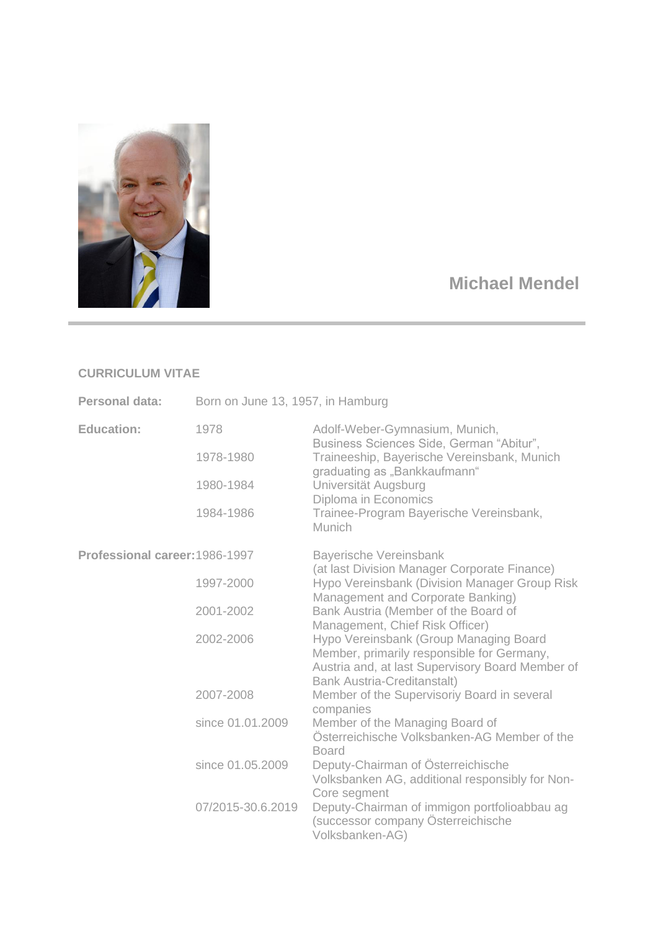

## **Michael Mendel**

## **CURRICULUM VITAE**

| Personal data:                 | Born on June 13, 1957, in Hamburg |                                                                                                                                                                                |
|--------------------------------|-----------------------------------|--------------------------------------------------------------------------------------------------------------------------------------------------------------------------------|
| <b>Education:</b>              | 1978                              | Adolf-Weber-Gymnasium, Munich,                                                                                                                                                 |
|                                | 1978-1980                         | Business Sciences Side, German "Abitur",<br>Traineeship, Bayerische Vereinsbank, Munich<br>graduating as "Bankkaufmann"<br>Universität Augsburg<br>Diploma in Economics        |
|                                | 1980-1984                         |                                                                                                                                                                                |
|                                | 1984-1986                         | Trainee-Program Bayerische Vereinsbank,<br><b>Munich</b>                                                                                                                       |
| Professional career: 1986-1997 |                                   | <b>Bayerische Vereinsbank</b><br>(at last Division Manager Corporate Finance)                                                                                                  |
|                                | 1997-2000                         | Hypo Vereinsbank (Division Manager Group Risk<br>Management and Corporate Banking)                                                                                             |
|                                | 2001-2002                         | Bank Austria (Member of the Board of<br>Management, Chief Risk Officer)                                                                                                        |
|                                | 2002-2006                         | Hypo Vereinsbank (Group Managing Board<br>Member, primarily responsible for Germany,<br>Austria and, at last Supervisory Board Member of<br><b>Bank Austria-Creditanstalt)</b> |
|                                | 2007-2008                         | Member of the Supervisoriy Board in several<br>companies                                                                                                                       |
|                                | since 01.01.2009                  | Member of the Managing Board of<br>Österreichische Volksbanken-AG Member of the<br><b>Board</b>                                                                                |
|                                | since 01.05.2009                  | Deputy-Chairman of Österreichische<br>Volksbanken AG, additional responsibly for Non-<br>Core segment                                                                          |
|                                | 07/2015-30.6.2019                 | Deputy-Chairman of immigon portfolioabbau ag<br>(successor company Österreichische<br>Volksbanken-AG)                                                                          |